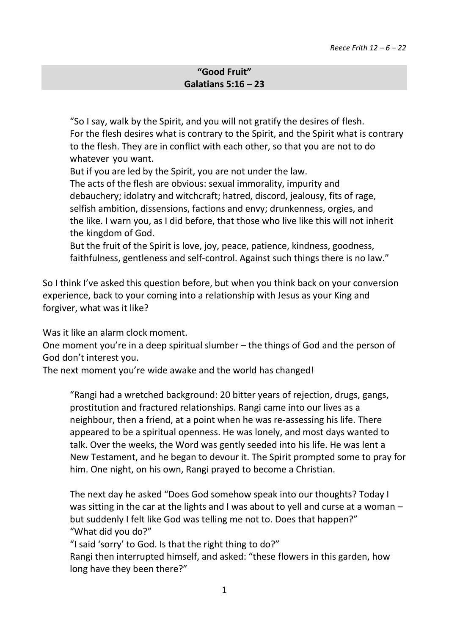## **"Good Fruit" Galatians 5:16 – 23**

"So I say, walk by the Spirit, and you will not gratify the desires of flesh. For the flesh desires what is contrary to the Spirit, and the Spirit what is contrary to the flesh. They are in conflict with each other, so that you are not to do whatever you want.

But if you are led by the Spirit, you are not under the law.

The acts of the flesh are obvious: sexual immorality, impurity and debauchery; idolatry and witchcraft; hatred, discord, jealousy, fits of rage, selfish ambition, dissensions, factions and envy; drunkenness, orgies, and the like. I warn you, as I did before, that those who live like this will not inherit the kingdom of God.

But the fruit of the Spirit is love, joy, peace, patience, kindness, goodness, faithfulness, gentleness and self-control. Against such things there is no law."

So I think I've asked this question before, but when you think back on your conversion experience, back to your coming into a relationship with Jesus as your King and forgiver, what was it like?

Was it like an alarm clock moment.

One moment you're in a deep spiritual slumber – the things of God and the person of God don't interest you.

The next moment you're wide awake and the world has changed!

"Rangi had a wretched background: 20 bitter years of rejection, drugs, gangs, prostitution and fractured relationships. Rangi came into our lives as a neighbour, then a friend, at a point when he was re-assessing his life. There appeared to be a spiritual openness. He was lonely, and most days wanted to talk. Over the weeks, the Word was gently seeded into his life. He was lent a New Testament, and he began to devour it. The Spirit prompted some to pray for him. One night, on his own, Rangi prayed to become a Christian.

The next day he asked "Does God somehow speak into our thoughts? Today I was sitting in the car at the lights and I was about to yell and curse at a woman – but suddenly I felt like God was telling me not to. Does that happen?" "What did you do?"

"I said 'sorry' to God. Is that the right thing to do?"

Rangi then interrupted himself, and asked: "these flowers in this garden, how long have they been there?"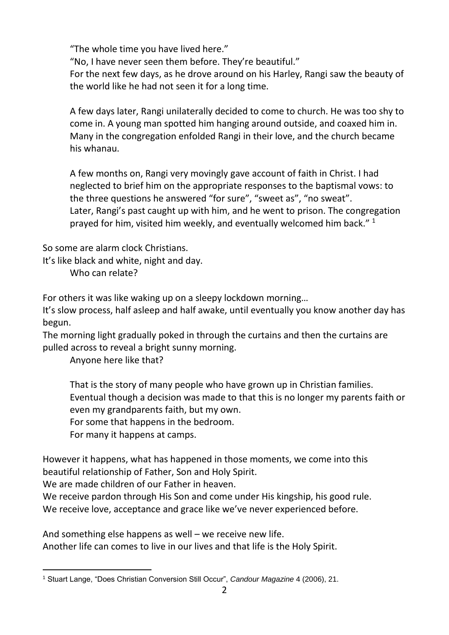"The whole time you have lived here."

"No, I have never seen them before. They're beautiful."

For the next few days, as he drove around on his Harley, Rangi saw the beauty of the world like he had not seen it for a long time.

A few days later, Rangi unilaterally decided to come to church. He was too shy to come in. A young man spotted him hanging around outside, and coaxed him in. Many in the congregation enfolded Rangi in their love, and the church became his whanau.

A few months on, Rangi very movingly gave account of faith in Christ. I had neglected to brief him on the appropriate responses to the baptismal vows: to the three questions he answered "for sure", "sweet as", "no sweat". Later, Rangi's past caught up with him, and he went to prison. The congregation prayed for him, visited him weekly, and eventually welcomed him back."  $1$ 

So some are alarm clock Christians.

It's like black and white, night and day.

Who can relate?

For others it was like waking up on a sleepy lockdown morning…

It's slow process, half asleep and half awake, until eventually you know another day has begun.

The morning light gradually poked in through the curtains and then the curtains are pulled across to reveal a bright sunny morning.

Anyone here like that?

That is the story of many people who have grown up in Christian families. Eventual though a decision was made to that this is no longer my parents faith or even my grandparents faith, but my own.

For some that happens in the bedroom.

For many it happens at camps.

However it happens, what has happened in those moments, we come into this beautiful relationship of Father, Son and Holy Spirit.

We are made children of our Father in heaven.

We receive pardon through His Son and come under His kingship, his good rule. We receive love, acceptance and grace like we've never experienced before.

And something else happens as well – we receive new life. Another life can comes to live in our lives and that life is the Holy Spirit.

<sup>-</sup><sup>1</sup> Stuart Lange, "Does Christian Conversion Still Occur", *Candour Magazine* 4 (2006), 21.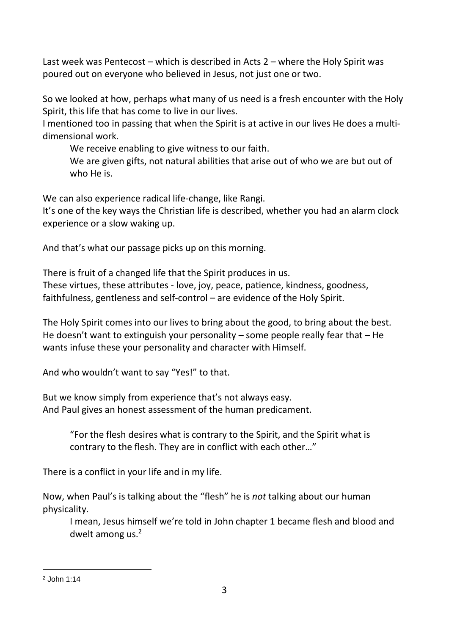Last week was Pentecost – which is described in Acts 2 – where the Holy Spirit was poured out on everyone who believed in Jesus, not just one or two.

So we looked at how, perhaps what many of us need is a fresh encounter with the Holy Spirit, this life that has come to live in our lives.

I mentioned too in passing that when the Spirit is at active in our lives He does a multidimensional work.

We receive enabling to give witness to our faith.

We are given gifts, not natural abilities that arise out of who we are but out of who He is.

We can also experience radical life-change, like Rangi.

It's one of the key ways the Christian life is described, whether you had an alarm clock experience or a slow waking up.

And that's what our passage picks up on this morning.

There is fruit of a changed life that the Spirit produces in us. These virtues, these attributes - love, joy, peace, patience, kindness, goodness, faithfulness, gentleness and self-control – are evidence of the Holy Spirit.

The Holy Spirit comes into our lives to bring about the good, to bring about the best. He doesn't want to extinguish your personality – some people really fear that – He wants infuse these your personality and character with Himself.

And who wouldn't want to say "Yes!" to that.

But we know simply from experience that's not always easy. And Paul gives an honest assessment of the human predicament.

"For the flesh desires what is contrary to the Spirit, and the Spirit what is contrary to the flesh. They are in conflict with each other…"

There is a conflict in your life and in my life.

Now, when Paul's is talking about the "flesh" he is *not* talking about our human physicality.

I mean, Jesus himself we're told in John chapter 1 became flesh and blood and dwelt among us.<sup>2</sup>

<sup>-</sup><sup>2</sup> John 1:14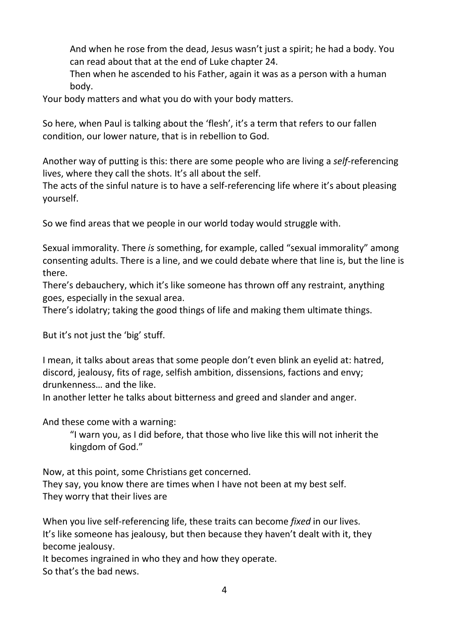And when he rose from the dead, Jesus wasn't just a spirit; he had a body. You can read about that at the end of Luke chapter 24.

Then when he ascended to his Father, again it was as a person with a human body.

Your body matters and what you do with your body matters.

So here, when Paul is talking about the 'flesh', it's a term that refers to our fallen condition, our lower nature, that is in rebellion to God.

Another way of putting is this: there are some people who are living a *self*-referencing lives, where they call the shots. It's all about the self.

The acts of the sinful nature is to have a self-referencing life where it's about pleasing yourself.

So we find areas that we people in our world today would struggle with.

Sexual immorality. There *is* something, for example, called "sexual immorality" among consenting adults. There is a line, and we could debate where that line is, but the line is there.

There's debauchery, which it's like someone has thrown off any restraint, anything goes, especially in the sexual area.

There's idolatry; taking the good things of life and making them ultimate things.

But it's not just the 'big' stuff.

I mean, it talks about areas that some people don't even blink an eyelid at: hatred, discord, jealousy, fits of rage, selfish ambition, dissensions, factions and envy; drunkenness… and the like.

In another letter he talks about bitterness and greed and slander and anger.

And these come with a warning:

"I warn you, as I did before, that those who live like this will not inherit the kingdom of God."

Now, at this point, some Christians get concerned.

They say, you know there are times when I have not been at my best self. They worry that their lives are

When you live self-referencing life, these traits can become *fixed* in our lives. It's like someone has jealousy, but then because they haven't dealt with it, they become jealousy.

It becomes ingrained in who they and how they operate. So that's the bad news.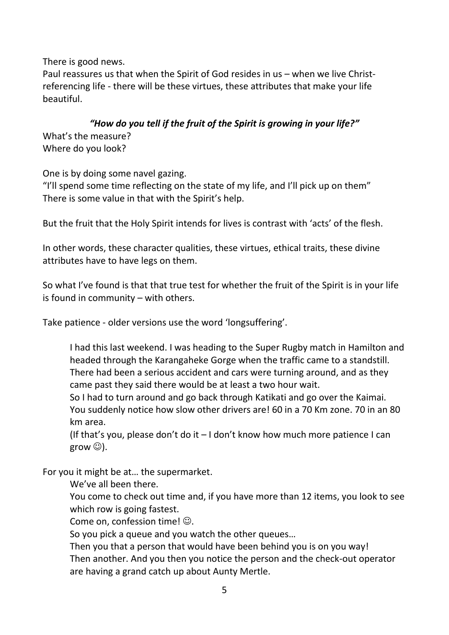There is good news.

Paul reassures us that when the Spirit of God resides in us – when we live Christreferencing life - there will be these virtues, these attributes that make your life beautiful.

## *"How do you tell if the fruit of the Spirit is growing in your life?"*

What's the measure? Where do you look?

One is by doing some navel gazing.

"I'll spend some time reflecting on the state of my life, and I'll pick up on them" There is some value in that with the Spirit's help.

But the fruit that the Holy Spirit intends for lives is contrast with 'acts' of the flesh.

In other words, these character qualities, these virtues, ethical traits, these divine attributes have to have legs on them.

So what I've found is that that true test for whether the fruit of the Spirit is in your life is found in community – with others.

Take patience - older versions use the word 'longsuffering'.

I had this last weekend. I was heading to the Super Rugby match in Hamilton and headed through the Karangaheke Gorge when the traffic came to a standstill. There had been a serious accident and cars were turning around, and as they came past they said there would be at least a two hour wait.

So I had to turn around and go back through Katikati and go over the Kaimai. You suddenly notice how slow other drivers are! 60 in a 70 Km zone. 70 in an 80 km area.

(If that's you, please don't do it  $-1$  don't know how much more patience I can grow  $\circledcirc$ ).

For you it might be at… the supermarket.

We've all been there.

You come to check out time and, if you have more than 12 items, you look to see which row is going fastest.

Come on, confession time!  $\odot$ .

So you pick a queue and you watch the other queues…

Then you that a person that would have been behind you is on you way! Then another. And you then you notice the person and the check-out operator are having a grand catch up about Aunty Mertle.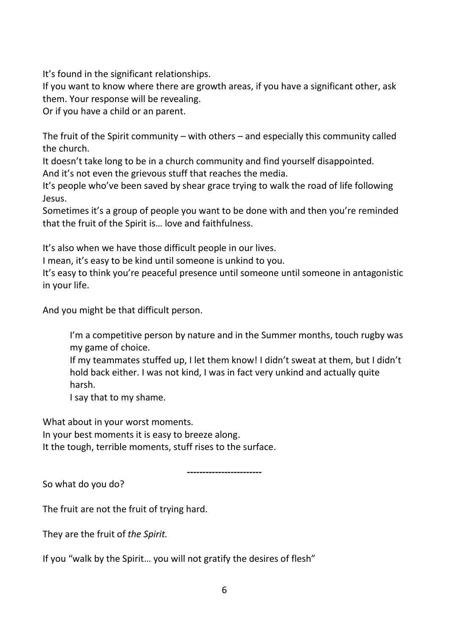It's found in the significant relationships.

If you want to know where there are growth areas, if you have a significant other, ask them. Your response will be revealing.

Or if you have a child or an parent.

The fruit of the Spirit community – with others – and especially this community called the church.

It doesn't take long to be in a church community and find yourself disappointed. And it's not even the grievous stuff that reaches the media.

It's people who've been saved by shear grace trying to walk the road of life following Jesus.

Sometimes it's a group of people you want to be done with and then you're reminded that the fruit of the Spirit is… love and faithfulness.

It's also when we have those difficult people in our lives.

I mean, it's easy to be kind until someone is unkind to you.

It's easy to think you're peaceful presence until someone until someone in antagonistic in your life.

And you might be that difficult person.

I'm a competitive person by nature and in the Summer months, touch rugby was my game of choice.

If my teammates stuffed up, I let them know! I didn't sweat at them, but I didn't hold back either. I was not kind, I was in fact very unkind and actually quite harsh.

I say that to my shame.

What about in your worst moments. In your best moments it is easy to breeze along. It the tough, terrible moments, stuff rises to the surface.

*------------------------*

So what do you do?

The fruit are not the fruit of trying hard.

They are the fruit of *the Spirit.*

If you "walk by the Spirit… you will not gratify the desires of flesh"